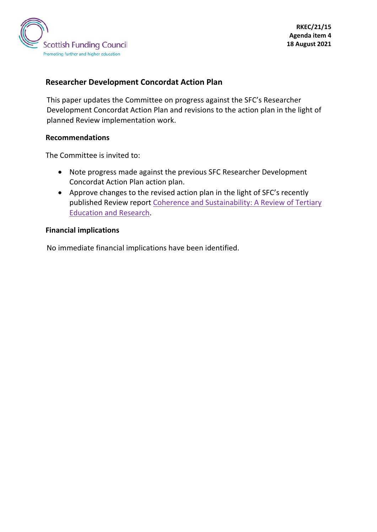

#### **Researcher Development Concordat Action Plan**

This paper updates the Committee on progress against the SFC's Researcher Development Concordat Action Plan and revisions to the action plan in the light of planned Review implementation work.

#### **Recommendations**

The Committee is invited to:

- Note progress made against the previous SFC Researcher Development Concordat Action Plan action plan.
- Approve changes to the revised action plan in the light of SFC's recently published Review report [Coherence and Sustainability: A Review of Tertiary](http://www.sfc.ac.uk/review/review.aspx)  [Education and Research.](http://www.sfc.ac.uk/review/review.aspx)

#### **Financial implications**

<span id="page-0-0"></span>No immediate financial implications have been identified.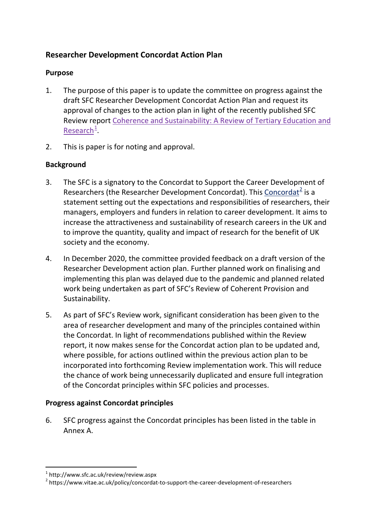## **Researcher Development Concordat Action Plan**

### **Purpose**

- 1. The purpose of this paper is to update the committee on progress against the draft SFC Researcher Development Concordat Action Plan and request its approval of changes to the action plan in light of the recently published SFC Review report [Coherence and Sustainability: A Review of Tertiary Education and](http://www.sfc.ac.uk/review/review.aspx)  [Research](http://www.sfc.ac.uk/review/review.aspx)<sup>[1](#page-0-0)</sup>
- 2. This is paper is for noting and approval.

### **Background**

- 3. The SFC is a signatory to the Concordat to Support the Career Development of Researchers (the Researcher Development [Concordat](http://www.sfc.ac.uk/nmsruntime/logLink.aspx?linkURL=https%3a%2f%2fwww.vitae.ac.uk%2fpolicy%2fconcordat-to-support-the-career-development-of-researchers&linkURLH=349a8847d752814660e075babae555e299537d1bf7122aa84f68b1705f53547f1d281b79274f9c226a781d83ba8c8655daeae4962ab8a5b6b8f5f979e26d6b02)). This Concordat<sup>[2](#page-1-0)</sup> is a statement setting out the expectations and responsibilities of researchers, their managers, employers and funders in relation to career development. It aims to increase the attractiveness and sustainability of research careers in the UK and to improve the quantity, quality and impact of research for the benefit of UK society and the economy.
- 4. In December 2020, the committee provided feedback on a draft version of the Researcher Development action plan. Further planned work on finalising and implementing this plan was delayed due to the pandemic and planned related work being undertaken as part of SFC's Review of Coherent Provision and Sustainability.
- 5. As part of SFC's Review work, significant consideration has been given to the area of researcher development and many of the principles contained within the Concordat. In light of recommendations published within the Review report, it now makes sense for the Concordat action plan to be updated and, where possible, for actions outlined within the previous action plan to be incorporated into forthcoming Review implementation work. This will reduce the chance of work being unnecessarily duplicated and ensure full integration of the Concordat principles within SFC policies and processes.

### **Progress against Concordat principles**

6. SFC progress against the Concordat principles has been listed in the table in Annex A.

 $1$  http://www.sfc.ac.uk/review/review.aspx

<span id="page-1-0"></span><sup>&</sup>lt;sup>2</sup> https://www.vitae.ac.uk/policy/concordat-to-support-the-career-development-of-researchers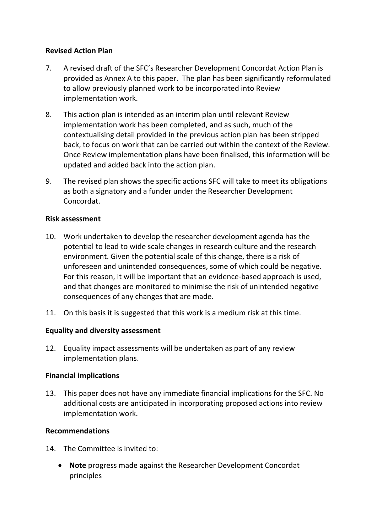### **Revised Action Plan**

- 7. A revised draft of the SFC's Researcher Development Concordat Action Plan is provided as Annex A to this paper. The plan has been significantly reformulated to allow previously planned work to be incorporated into Review implementation work.
- 8. This action plan is intended as an interim plan until relevant Review implementation work has been completed, and as such, much of the contextualising detail provided in the previous action plan has been stripped back, to focus on work that can be carried out within the context of the Review. Once Review implementation plans have been finalised, this information will be updated and added back into the action plan.
- 9. The revised plan shows the specific actions SFC will take to meet its obligations as both a signatory and a funder under the Researcher Development Concordat.

#### **Risk assessment**

- 10. Work undertaken to develop the researcher development agenda has the potential to lead to wide scale changes in research culture and the research environment. Given the potential scale of this change, there is a risk of unforeseen and unintended consequences, some of which could be negative. For this reason, it will be important that an evidence-based approach is used, and that changes are monitored to minimise the risk of unintended negative consequences of any changes that are made.
- 11. On this basis it is suggested that this work is a medium risk at this time.

### **Equality and diversity assessment**

12. Equality impact assessments will be undertaken as part of any review implementation plans.

### **Financial implications**

13. This paper does not have any immediate financial implications for the SFC. No additional costs are anticipated in incorporating proposed actions into review implementation work.

### **Recommendations**

- 14. The Committee is invited to:
	- **Note** progress made against the Researcher Development Concordat principles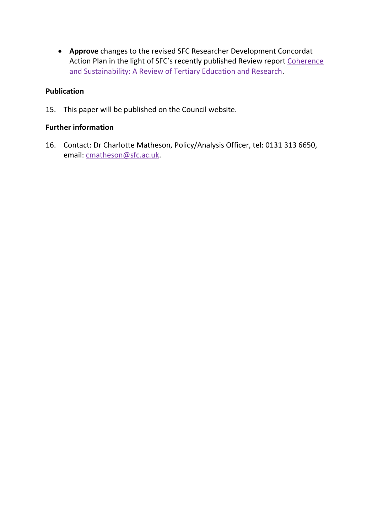• **Approve** changes to the revised SFC Researcher Development Concordat Action Plan in the light of SFC's recently published Review report [Coherence](http://www.sfc.ac.uk/review/review.aspx)  [and Sustainability: A Review of Tertiary Education and Research.](http://www.sfc.ac.uk/review/review.aspx)

#### **Publication**

15. This paper will be published on the Council website.

#### **Further information**

16. Contact: Dr Charlotte Matheson, Policy/Analysis Officer, tel: 0131 313 6650, email: [cmatheson@sfc.ac.uk.](mailto:cmatheson@sfc.ac.uk)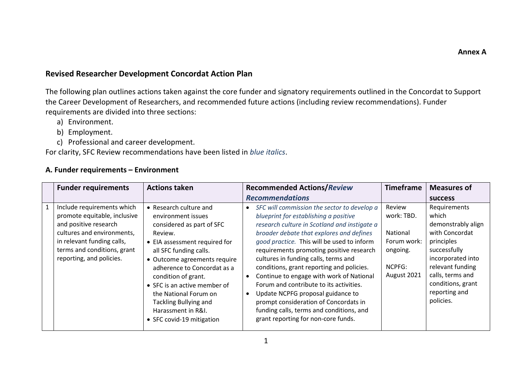### **Revised Researcher Development Concordat Action Plan**

The following plan outlines actions taken against the core funder and signatory requirements outlined in the Concordat to Support the Career Development of Researchers, and recommended future actions (including review recommendations). Funder requirements are divided into three sections:

- a) Environment.
- b) Employment.
- c) Professional and career development.

For clarity, SFC Review recommendations have been listed in *blue italics*.

#### **A. Funder requirements – Environment**

| <b>Funder requirements</b>                                                                                                                                                                                 | <b>Actions taken</b>                                                                                                                                                                                                                                                                                                                                                       | <b>Recommended Actions/Review</b>                                                                                                                                                                                                                                                                                                                                                                                                                                                                                                                                                                                       | <b>Timeframe</b>                                                                     | <b>Measures of</b>                                                                                                                                                                                          |
|------------------------------------------------------------------------------------------------------------------------------------------------------------------------------------------------------------|----------------------------------------------------------------------------------------------------------------------------------------------------------------------------------------------------------------------------------------------------------------------------------------------------------------------------------------------------------------------------|-------------------------------------------------------------------------------------------------------------------------------------------------------------------------------------------------------------------------------------------------------------------------------------------------------------------------------------------------------------------------------------------------------------------------------------------------------------------------------------------------------------------------------------------------------------------------------------------------------------------------|--------------------------------------------------------------------------------------|-------------------------------------------------------------------------------------------------------------------------------------------------------------------------------------------------------------|
|                                                                                                                                                                                                            |                                                                                                                                                                                                                                                                                                                                                                            | <b>Recommendations</b>                                                                                                                                                                                                                                                                                                                                                                                                                                                                                                                                                                                                  |                                                                                      | <b>SUCCESS</b>                                                                                                                                                                                              |
| Include requirements which<br>promote equitable, inclusive<br>and positive research<br>cultures and environments,<br>in relevant funding calls,<br>terms and conditions, grant<br>reporting, and policies. | • Research culture and<br>environment issues<br>considered as part of SFC<br>Review.<br>• EIA assessment required for<br>all SFC funding calls.<br>• Outcome agreements require<br>adherence to Concordat as a<br>condition of grant.<br>• SFC is an active member of<br>the National Forum on<br>Tackling Bullying and<br>Harassment in R&I.<br>• SFC covid-19 mitigation | SFC will commission the sector to develop a<br>blueprint for establishing a positive<br>research culture in Scotland and instigate a<br>broader debate that explores and defines<br>good practice. This will be used to inform<br>requirements promoting positive research<br>cultures in funding calls, terms and<br>conditions, grant reporting and policies.<br>Continue to engage with work of National<br>Forum and contribute to its activities.<br>Update NCPFG proposal guidance to<br>prompt consideration of Concordats in<br>funding calls, terms and conditions, and<br>grant reporting for non-core funds. | Review<br>work: TBD.<br>National<br>Forum work:<br>ongoing.<br>NCPFG:<br>August 2021 | Requirements<br>which<br>demonstrably align<br>with Concordat<br>principles<br>successfully<br>incorporated into<br>relevant funding<br>calls, terms and<br>conditions, grant<br>reporting and<br>policies. |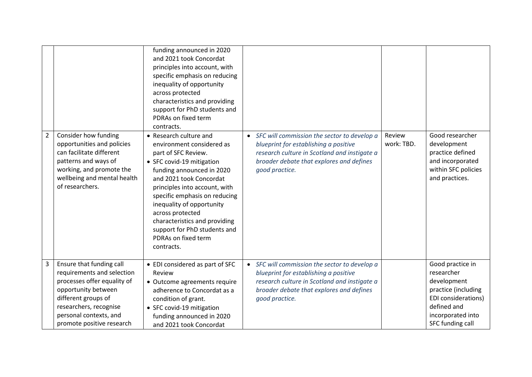|                |                                                                                                                                                                                                                      | funding announced in 2020<br>and 2021 took Concordat<br>principles into account, with<br>specific emphasis on reducing<br>inequality of opportunity<br>across protected<br>characteristics and providing<br>support for PhD students and<br>PDRAs on fixed term<br>contracts.                                                                                                            |                                                                                                                                                                                                                 |                      |                                                                                                                                                            |
|----------------|----------------------------------------------------------------------------------------------------------------------------------------------------------------------------------------------------------------------|------------------------------------------------------------------------------------------------------------------------------------------------------------------------------------------------------------------------------------------------------------------------------------------------------------------------------------------------------------------------------------------|-----------------------------------------------------------------------------------------------------------------------------------------------------------------------------------------------------------------|----------------------|------------------------------------------------------------------------------------------------------------------------------------------------------------|
| $\overline{2}$ | Consider how funding<br>opportunities and policies<br>can facilitate different<br>patterns and ways of<br>working, and promote the<br>wellbeing and mental health<br>of researchers.                                 | • Research culture and<br>environment considered as<br>part of SFC Review.<br>• SFC covid-19 mitigation<br>funding announced in 2020<br>and 2021 took Concordat<br>principles into account, with<br>specific emphasis on reducing<br>inequality of opportunity<br>across protected<br>characteristics and providing<br>support for PhD students and<br>PDRAs on fixed term<br>contracts. | • SFC will commission the sector to develop a<br>blueprint for establishing a positive<br>research culture in Scotland and instigate a<br>broader debate that explores and defines<br>good practice.            | Review<br>work: TBD. | Good researcher<br>development<br>practice defined<br>and incorporated<br>within SFC policies<br>and practices.                                            |
| 3              | Ensure that funding call<br>requirements and selection<br>processes offer equality of<br>opportunity between<br>different groups of<br>researchers, recognise<br>personal contexts, and<br>promote positive research | • EDI considered as part of SFC<br>Review<br>• Outcome agreements require<br>adherence to Concordat as a<br>condition of grant.<br>• SFC covid-19 mitigation<br>funding announced in 2020<br>and 2021 took Concordat                                                                                                                                                                     | SFC will commission the sector to develop a<br>$\bullet$<br>blueprint for establishing a positive<br>research culture in Scotland and instigate a<br>broader debate that explores and defines<br>good practice. |                      | Good practice in<br>researcher<br>development<br>practice (including<br><b>EDI</b> considerations)<br>defined and<br>incorporated into<br>SFC funding call |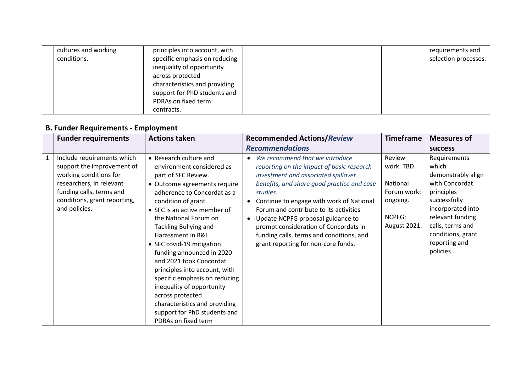| cultures and working | principles into account, with |  | requirements and     |
|----------------------|-------------------------------|--|----------------------|
| conditions.          | specific emphasis on reducing |  | selection processes. |
|                      | inequality of opportunity     |  |                      |
|                      | across protected              |  |                      |
|                      | characteristics and providing |  |                      |
|                      | support for PhD students and  |  |                      |
|                      | PDRAs on fixed term           |  |                      |
|                      | contracts.                    |  |                      |

# **B. Funder Requirements - Employment**

| <b>Funder requirements</b>                                                                                                                                                                  | <b>Actions taken</b>                                                                                                                                                                                                                                                                                                                                                                                                                                                                                                                                                            | <b>Recommended Actions/Review</b>                                                                                                                                                                                                                                                                                                                                                                                                                                          | <b>Timeframe</b>                                                                      | <b>Measures of</b>                                                                                                                                                                                          |
|---------------------------------------------------------------------------------------------------------------------------------------------------------------------------------------------|---------------------------------------------------------------------------------------------------------------------------------------------------------------------------------------------------------------------------------------------------------------------------------------------------------------------------------------------------------------------------------------------------------------------------------------------------------------------------------------------------------------------------------------------------------------------------------|----------------------------------------------------------------------------------------------------------------------------------------------------------------------------------------------------------------------------------------------------------------------------------------------------------------------------------------------------------------------------------------------------------------------------------------------------------------------------|---------------------------------------------------------------------------------------|-------------------------------------------------------------------------------------------------------------------------------------------------------------------------------------------------------------|
|                                                                                                                                                                                             |                                                                                                                                                                                                                                                                                                                                                                                                                                                                                                                                                                                 | <b>Recommendations</b>                                                                                                                                                                                                                                                                                                                                                                                                                                                     |                                                                                       | <b>SUCCESS</b>                                                                                                                                                                                              |
| Include requirements which<br>support the improvement of<br>working conditions for<br>researchers, in relevant<br>funding calls, terms and<br>conditions, grant reporting,<br>and policies. | • Research culture and<br>environment considered as<br>part of SFC Review.<br>• Outcome agreements require<br>adherence to Concordat as a<br>condition of grant.<br>• SFC is an active member of<br>the National Forum on<br><b>Tackling Bullying and</b><br>Harassment in R&I.<br>• SFC covid-19 mitigation<br>funding announced in 2020<br>and 2021 took Concordat<br>principles into account, with<br>specific emphasis on reducing<br>inequality of opportunity<br>across protected<br>characteristics and providing<br>support for PhD students and<br>PDRAs on fixed term | We recommend that we introduce<br>$\bullet$<br>reporting on the impact of basic research<br>investment and associated spillover<br>benefits, and share good practice and case<br>studies.<br>Continue to engage with work of National<br>$\bullet$<br>Forum and contribute to its activities<br>Update NCPFG proposal guidance to<br>$\bullet$<br>prompt consideration of Concordats in<br>funding calls, terms and conditions, and<br>grant reporting for non-core funds. | Review<br>work: TBD.<br>National<br>Forum work:<br>ongoing.<br>NCPFG:<br>August 2021. | Requirements<br>which<br>demonstrably align<br>with Concordat<br>principles<br>successfully<br>incorporated into<br>relevant funding<br>calls, terms and<br>conditions, grant<br>reporting and<br>policies. |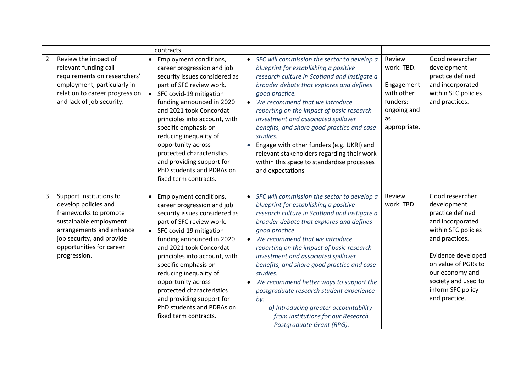|                |                                                                                                                                                                                                         | contracts.                                                                                                                                                                                                                                                                                                                                                                                                                                   |                                                                                                                                                                                                                                                                                                                                                                                                                                                                                                                                                                                                                                     |                                                                                                   |                                                                                                                                                                                                                                              |
|----------------|---------------------------------------------------------------------------------------------------------------------------------------------------------------------------------------------------------|----------------------------------------------------------------------------------------------------------------------------------------------------------------------------------------------------------------------------------------------------------------------------------------------------------------------------------------------------------------------------------------------------------------------------------------------|-------------------------------------------------------------------------------------------------------------------------------------------------------------------------------------------------------------------------------------------------------------------------------------------------------------------------------------------------------------------------------------------------------------------------------------------------------------------------------------------------------------------------------------------------------------------------------------------------------------------------------------|---------------------------------------------------------------------------------------------------|----------------------------------------------------------------------------------------------------------------------------------------------------------------------------------------------------------------------------------------------|
| $\overline{2}$ | Review the impact of<br>relevant funding call<br>requirements on researchers'<br>employment, particularly in<br>relation to career progression<br>and lack of job security.                             | Employment conditions,<br>career progression and job<br>security issues considered as<br>part of SFC review work.<br>• SFC covid-19 mitigation<br>funding announced in 2020<br>and 2021 took Concordat<br>principles into account, with<br>specific emphasis on<br>reducing inequality of<br>opportunity across<br>protected characteristics<br>and providing support for<br>PhD students and PDRAs on<br>fixed term contracts.              | • SFC will commission the sector to develop a<br>blueprint for establishing a positive<br>research culture in Scotland and instigate a<br>broader debate that explores and defines<br>good practice.<br>We recommend that we introduce<br>$\bullet$<br>reporting on the impact of basic research<br>investment and associated spillover<br>benefits, and share good practice and case<br>studies.<br>Engage with other funders (e.g. UKRI) and<br>$\bullet$<br>relevant stakeholders regarding their work<br>within this space to standardise processes<br>and expectations                                                         | Review<br>work: TBD.<br>Engagement<br>with other<br>funders:<br>ongoing and<br>as<br>appropriate. | Good researcher<br>development<br>practice defined<br>and incorporated<br>within SFC policies<br>and practices.                                                                                                                              |
| $\overline{3}$ | Support institutions to<br>develop policies and<br>frameworks to promote<br>sustainable employment<br>arrangements and enhance<br>job security, and provide<br>opportunities for career<br>progression. | Employment conditions,<br>$\bullet$<br>career progression and job<br>security issues considered as<br>part of SFC review work.<br>• SFC covid-19 mitigation<br>funding announced in 2020<br>and 2021 took Concordat<br>principles into account, with<br>specific emphasis on<br>reducing inequality of<br>opportunity across<br>protected characteristics<br>and providing support for<br>PhD students and PDRAs on<br>fixed term contracts. | SFC will commission the sector to develop a<br>$\bullet$<br>blueprint for establishing a positive<br>research culture in Scotland and instigate a<br>broader debate that explores and defines<br>good practice.<br>We recommend that we introduce<br>$\bullet$<br>reporting on the impact of basic research<br>investment and associated spillover<br>benefits, and share good practice and case<br>studies.<br>We recommend better ways to support the<br>$\bullet$<br>postgraduate research student experience<br>by:<br>a) Introducing greater accountability<br>from institutions for our Research<br>Postgraduate Grant (RPG). | Review<br>work: TBD.                                                                              | Good researcher<br>development<br>practice defined<br>and incorporated<br>within SFC policies<br>and practices.<br>Evidence developed<br>on value of PGRs to<br>our economy and<br>society and used to<br>inform SFC policy<br>and practice. |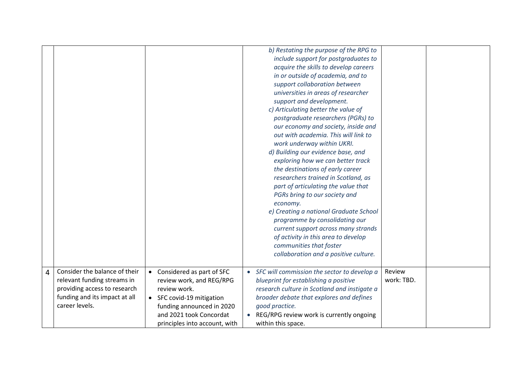|   |                                                                                                                                                 |                                                                                                                                                                                               | b) Restating the purpose of the RPG to<br>include support for postgraduates to<br>acquire the skills to develop careers<br>in or outside of academia, and to<br>support collaboration between<br>universities in areas of researcher<br>support and development.<br>c) Articulating better the value of<br>postgraduate researchers (PGRs) to<br>our economy and society, inside and<br>out with academia. This will link to<br>work underway within UKRI.<br>d) Building our evidence base, and<br>exploring how we can better track<br>the destinations of early career<br>researchers trained in Scotland, as<br>part of articulating the value that<br>PGRs bring to our society and<br>economy.<br>e) Creating a national Graduate School<br>programme by consolidating our<br>current support across many strands<br>of activity in this area to develop<br>communities that foster<br>collaboration and a positive culture. |                      |  |
|---|-------------------------------------------------------------------------------------------------------------------------------------------------|-----------------------------------------------------------------------------------------------------------------------------------------------------------------------------------------------|------------------------------------------------------------------------------------------------------------------------------------------------------------------------------------------------------------------------------------------------------------------------------------------------------------------------------------------------------------------------------------------------------------------------------------------------------------------------------------------------------------------------------------------------------------------------------------------------------------------------------------------------------------------------------------------------------------------------------------------------------------------------------------------------------------------------------------------------------------------------------------------------------------------------------------|----------------------|--|
| 4 | Consider the balance of their<br>relevant funding streams in<br>providing access to research<br>funding and its impact at all<br>career levels. | • Considered as part of SFC<br>review work, and REG/RPG<br>review work.<br>• SFC covid-19 mitigation<br>funding announced in 2020<br>and 2021 took Concordat<br>principles into account, with | • SFC will commission the sector to develop a<br>blueprint for establishing a positive<br>research culture in Scotland and instigate a<br>broader debate that explores and defines<br>good practice.<br>REG/RPG review work is currently ongoing<br>within this space.                                                                                                                                                                                                                                                                                                                                                                                                                                                                                                                                                                                                                                                             | Review<br>work: TBD. |  |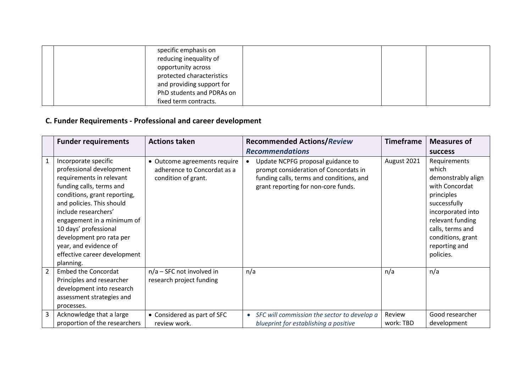| specific emphasis on      |  |
|---------------------------|--|
| reducing inequality of    |  |
| opportunity across        |  |
| protected characteristics |  |
| and providing support for |  |
| PhD students and PDRAs on |  |
| fixed term contracts.     |  |

## **C. Funder Requirements - Professional and career development**

|                | <b>Funder requirements</b>                                                                                                                                                                                                                                                                                                                             | <b>Actions taken</b>                                                               | <b>Recommended Actions/Review</b>                                                                                                                                          | <b>Timeframe</b>    | <b>Measures of</b>                                                                                                                                                                                          |
|----------------|--------------------------------------------------------------------------------------------------------------------------------------------------------------------------------------------------------------------------------------------------------------------------------------------------------------------------------------------------------|------------------------------------------------------------------------------------|----------------------------------------------------------------------------------------------------------------------------------------------------------------------------|---------------------|-------------------------------------------------------------------------------------------------------------------------------------------------------------------------------------------------------------|
|                |                                                                                                                                                                                                                                                                                                                                                        |                                                                                    | <b>Recommendations</b>                                                                                                                                                     |                     | <b>SUCCESS</b>                                                                                                                                                                                              |
| $\mathbf{1}$   | Incorporate specific<br>professional development<br>requirements in relevant<br>funding calls, terms and<br>conditions, grant reporting,<br>and policies. This should<br>include researchers'<br>engagement in a minimum of<br>10 days' professional<br>development pro rata per<br>year, and evidence of<br>effective career development<br>planning. | • Outcome agreements require<br>adherence to Concordat as a<br>condition of grant. | Update NCPFG proposal guidance to<br>$\bullet$<br>prompt consideration of Concordats in<br>funding calls, terms and conditions, and<br>grant reporting for non-core funds. | August 2021         | Requirements<br>which<br>demonstrably align<br>with Concordat<br>principles<br>successfully<br>incorporated into<br>relevant funding<br>calls, terms and<br>conditions, grant<br>reporting and<br>policies. |
| $\overline{2}$ | <b>Embed the Concordat</b><br>Principles and researcher<br>development into research<br>assessment strategies and<br>processes.                                                                                                                                                                                                                        | $n/a$ – SFC not involved in<br>research project funding                            | n/a                                                                                                                                                                        | n/a                 | n/a                                                                                                                                                                                                         |
| 3              | Acknowledge that a large<br>proportion of the researchers                                                                                                                                                                                                                                                                                              | • Considered as part of SFC<br>review work.                                        | SFC will commission the sector to develop a<br>$\bullet$<br>blueprint for establishing a positive                                                                          | Review<br>work: TBD | Good researcher<br>development                                                                                                                                                                              |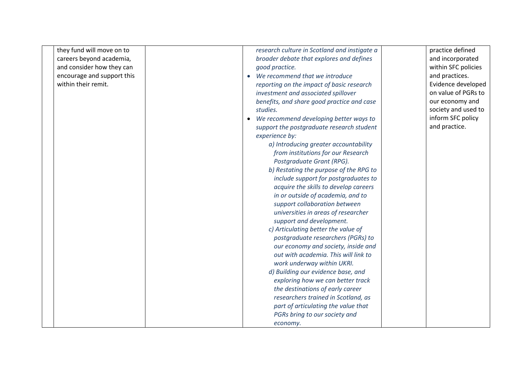| they fund will move on to  | research culture in Scotland and instigate a        | practice defined    |
|----------------------------|-----------------------------------------------------|---------------------|
| careers beyond academia,   | broader debate that explores and defines            | and incorporated    |
| and consider how they can  | good practice.                                      | within SFC policies |
| encourage and support this | We recommend that we introduce<br>$\bullet$         | and practices.      |
| within their remit.        | reporting on the impact of basic research           | Evidence developed  |
|                            | investment and associated spillover                 | on value of PGRs to |
|                            | benefits, and share good practice and case          | our economy and     |
|                            | studies.                                            | society and used to |
|                            | We recommend developing better ways to<br>$\bullet$ | inform SFC policy   |
|                            | support the postgraduate research student           | and practice.       |
|                            | experience by:                                      |                     |
|                            | a) Introducing greater accountability               |                     |
|                            | from institutions for our Research                  |                     |
|                            | Postgraduate Grant (RPG).                           |                     |
|                            | b) Restating the purpose of the RPG to              |                     |
|                            | include support for postgraduates to                |                     |
|                            | acquire the skills to develop careers               |                     |
|                            | in or outside of academia, and to                   |                     |
|                            | support collaboration between                       |                     |
|                            | universities in areas of researcher                 |                     |
|                            | support and development.                            |                     |
|                            | c) Articulating better the value of                 |                     |
|                            | postgraduate researchers (PGRs) to                  |                     |
|                            | our economy and society, inside and                 |                     |
|                            | out with academia. This will link to                |                     |
|                            | work underway within UKRI.                          |                     |
|                            | d) Building our evidence base, and                  |                     |
|                            | exploring how we can better track                   |                     |
|                            | the destinations of early career                    |                     |
|                            | researchers trained in Scotland, as                 |                     |
|                            | part of articulating the value that                 |                     |
|                            | PGRs bring to our society and                       |                     |
|                            | economy.                                            |                     |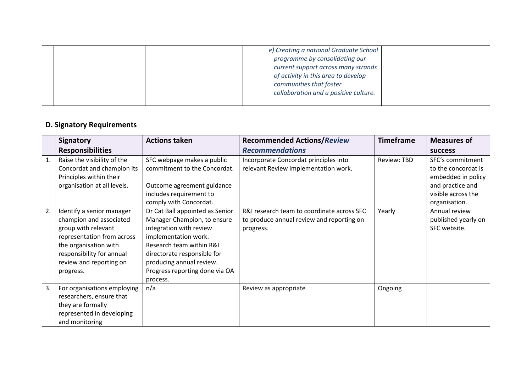|  | e) Creating a national Graduate School<br>programme by consolidating our<br>current support across many strands<br>of activity in this area to develop<br>communities that foster<br>collaboration and a positive culture. |  |
|--|----------------------------------------------------------------------------------------------------------------------------------------------------------------------------------------------------------------------------|--|
|  |                                                                                                                                                                                                                            |  |

## **D. Signatory Requirements**

|    | <b>Signatory</b>                                                                                                                                                                                        | <b>Actions taken</b>                                                                                                                                                                                                                                   | <b>Recommended Actions/Review</b>                                                                    | <b>Timeframe</b> | <b>Measures of</b>                                                                                                       |
|----|---------------------------------------------------------------------------------------------------------------------------------------------------------------------------------------------------------|--------------------------------------------------------------------------------------------------------------------------------------------------------------------------------------------------------------------------------------------------------|------------------------------------------------------------------------------------------------------|------------------|--------------------------------------------------------------------------------------------------------------------------|
|    | <b>Responsibilities</b>                                                                                                                                                                                 |                                                                                                                                                                                                                                                        | <b>Recommendations</b>                                                                               |                  | <b>SUCCESS</b>                                                                                                           |
| 1. | Raise the visibility of the<br>Concordat and champion its<br>Principles within their<br>organisation at all levels.                                                                                     | SFC webpage makes a public<br>commitment to the Concordat.<br>Outcome agreement guidance<br>includes requirement to<br>comply with Concordat.                                                                                                          | Incorporate Concordat principles into<br>relevant Review implementation work.                        | Review: TBD      | SFC's commitment<br>to the concordat is<br>embedded in policy<br>and practice and<br>visible across the<br>organisation. |
| 2. | Identify a senior manager<br>champion and associated<br>group with relevant<br>representation from across<br>the organisation with<br>responsibility for annual<br>review and reporting on<br>progress. | Dr Cat Ball appointed as Senior<br>Manager Champion, to ensure<br>integration with review<br>implementation work.<br>Research team within R&I<br>directorate responsible for<br>producing annual review.<br>Progress reporting done via OA<br>process. | R&I research team to coordinate across SFC<br>to produce annual review and reporting on<br>progress. | Yearly           | Annual review<br>published yearly on<br>SFC website.                                                                     |
| 3. | For organisations employing<br>researchers, ensure that<br>they are formally<br>represented in developing<br>and monitoring                                                                             | n/a                                                                                                                                                                                                                                                    | Review as appropriate                                                                                | Ongoing          |                                                                                                                          |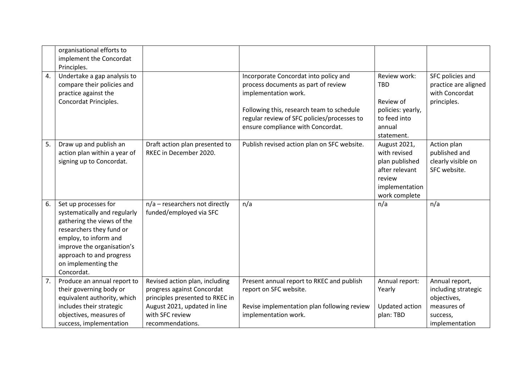|    | organisational efforts to<br>implement the Concordat<br>Principles.                                                                                                                                                                          |                                                                                                                                                                        |                                                                                                                                                                                                  |                                                                                                               |                                                                                                   |
|----|----------------------------------------------------------------------------------------------------------------------------------------------------------------------------------------------------------------------------------------------|------------------------------------------------------------------------------------------------------------------------------------------------------------------------|--------------------------------------------------------------------------------------------------------------------------------------------------------------------------------------------------|---------------------------------------------------------------------------------------------------------------|---------------------------------------------------------------------------------------------------|
| 4. | Undertake a gap analysis to<br>compare their policies and<br>practice against the<br>Concordat Principles.                                                                                                                                   |                                                                                                                                                                        | Incorporate Concordat into policy and<br>process documents as part of review<br>implementation work.<br>Following this, research team to schedule<br>regular review of SFC policies/processes to | Review work:<br><b>TBD</b><br>Review of<br>policies: yearly,<br>to feed into                                  | SFC policies and<br>practice are aligned<br>with Concordat<br>principles.                         |
|    |                                                                                                                                                                                                                                              |                                                                                                                                                                        | ensure compliance with Concordat.                                                                                                                                                                | annual<br>statement.                                                                                          |                                                                                                   |
|    | 5.<br>Draw up and publish an<br>action plan within a year of<br>signing up to Concordat.                                                                                                                                                     | Draft action plan presented to<br>RKEC in December 2020.                                                                                                               | Publish revised action plan on SFC website.                                                                                                                                                      | August 2021,<br>with revised<br>plan published<br>after relevant<br>review<br>implementation<br>work complete | Action plan<br>published and<br>clearly visible on<br>SFC website.                                |
|    | 6.<br>Set up processes for<br>systematically and regularly<br>gathering the views of the<br>researchers they fund or<br>employ, to inform and<br>improve the organisation's<br>approach to and progress<br>on implementing the<br>Concordat. | $n/a$ – researchers not directly<br>funded/employed via SFC                                                                                                            | n/a                                                                                                                                                                                              | n/a                                                                                                           | n/a                                                                                               |
| 7. | Produce an annual report to<br>their governing body or<br>equivalent authority, which<br>includes their strategic<br>objectives, measures of<br>success, implementation                                                                      | Revised action plan, including<br>progress against Concordat<br>principles presented to RKEC in<br>August 2021, updated in line<br>with SFC review<br>recommendations. | Present annual report to RKEC and publish<br>report on SFC website.<br>Revise implementation plan following review<br>implementation work.                                                       | Annual report:<br>Yearly<br>Updated action<br>plan: TBD                                                       | Annual report,<br>including strategic<br>objectives,<br>measures of<br>success,<br>implementation |